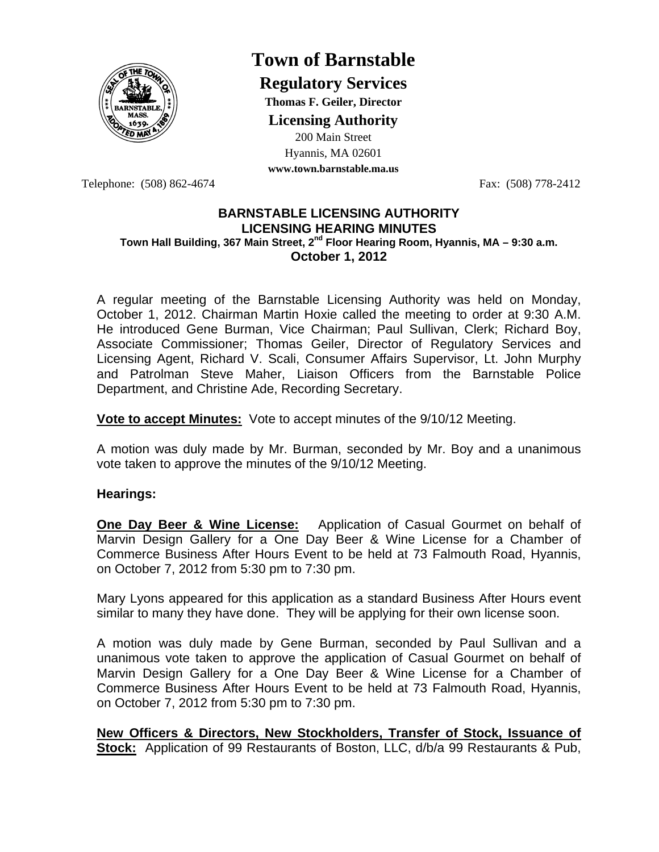

## **Town of Barnstable**

**Regulatory Services**

**Thomas F. Geiler, Director** 

**Licensing Authority**

200 Main Street Hyannis, MA 02601

**www.town.barnstable.ma.us**

Telephone: (508) 862-4674 Fax: (508) 778-2412

## **BARNSTABLE LICENSING AUTHORITY LICENSING HEARING MINUTES Town Hall Building, 367 Main Street, 2nd Floor Hearing Room, Hyannis, MA – 9:30 a.m. October 1, 2012**

A regular meeting of the Barnstable Licensing Authority was held on Monday, October 1, 2012. Chairman Martin Hoxie called the meeting to order at 9:30 A.M. He introduced Gene Burman, Vice Chairman; Paul Sullivan, Clerk; Richard Boy, Associate Commissioner; Thomas Geiler, Director of Regulatory Services and Licensing Agent, Richard V. Scali, Consumer Affairs Supervisor, Lt. John Murphy and Patrolman Steve Maher, Liaison Officers from the Barnstable Police Department, and Christine Ade, Recording Secretary.

**Vote to accept Minutes:** Vote to accept minutes of the 9/10/12 Meeting.

A motion was duly made by Mr. Burman, seconded by Mr. Boy and a unanimous vote taken to approve the minutes of the 9/10/12 Meeting.

## **Hearings:**

**One Day Beer & Wine License:** Application of Casual Gourmet on behalf of Marvin Design Gallery for a One Day Beer & Wine License for a Chamber of Commerce Business After Hours Event to be held at 73 Falmouth Road, Hyannis, on October 7, 2012 from 5:30 pm to 7:30 pm.

Mary Lyons appeared for this application as a standard Business After Hours event similar to many they have done. They will be applying for their own license soon.

A motion was duly made by Gene Burman, seconded by Paul Sullivan and a unanimous vote taken to approve the application of Casual Gourmet on behalf of Marvin Design Gallery for a One Day Beer & Wine License for a Chamber of Commerce Business After Hours Event to be held at 73 Falmouth Road, Hyannis, on October 7, 2012 from 5:30 pm to 7:30 pm.

**New Officers & Directors, New Stockholders, Transfer of Stock, Issuance of Stock:** Application of 99 Restaurants of Boston, LLC, d/b/a 99 Restaurants & Pub,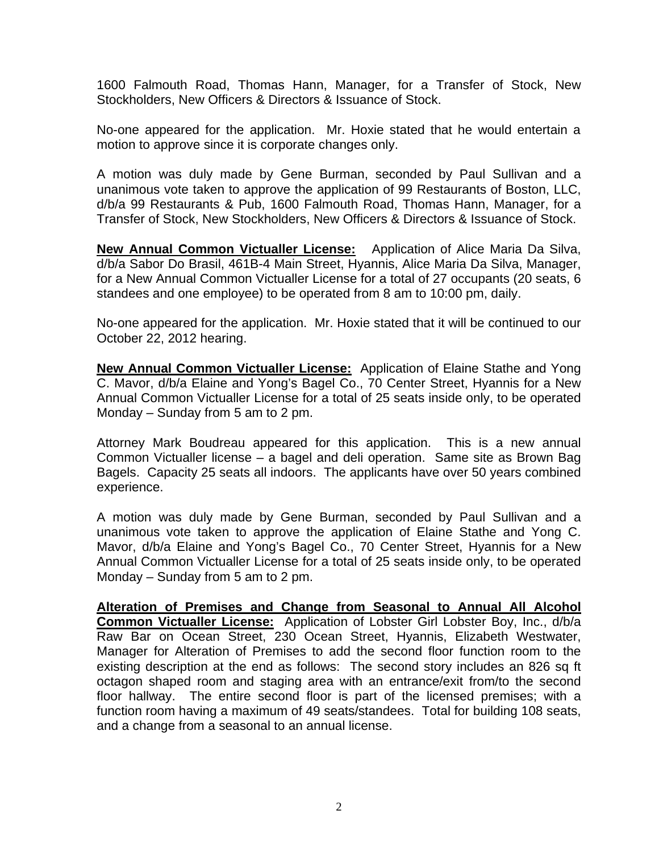1600 Falmouth Road, Thomas Hann, Manager, for a Transfer of Stock, New Stockholders, New Officers & Directors & Issuance of Stock.

No-one appeared for the application. Mr. Hoxie stated that he would entertain a motion to approve since it is corporate changes only.

A motion was duly made by Gene Burman, seconded by Paul Sullivan and a unanimous vote taken to approve the application of 99 Restaurants of Boston, LLC, d/b/a 99 Restaurants & Pub, 1600 Falmouth Road, Thomas Hann, Manager, for a Transfer of Stock, New Stockholders, New Officers & Directors & Issuance of Stock.

**New Annual Common Victualler License:** Application of Alice Maria Da Silva, d/b/a Sabor Do Brasil, 461B-4 Main Street, Hyannis, Alice Maria Da Silva, Manager, for a New Annual Common Victualler License for a total of 27 occupants (20 seats, 6 standees and one employee) to be operated from 8 am to 10:00 pm, daily.

No-one appeared for the application. Mr. Hoxie stated that it will be continued to our October 22, 2012 hearing.

**New Annual Common Victualler License:** Application of Elaine Stathe and Yong C. Mavor, d/b/a Elaine and Yong's Bagel Co., 70 Center Street, Hyannis for a New Annual Common Victualler License for a total of 25 seats inside only, to be operated Monday – Sunday from 5 am to 2 pm.

Attorney Mark Boudreau appeared for this application. This is a new annual Common Victualler license – a bagel and deli operation. Same site as Brown Bag Bagels. Capacity 25 seats all indoors. The applicants have over 50 years combined experience.

A motion was duly made by Gene Burman, seconded by Paul Sullivan and a unanimous vote taken to approve the application of Elaine Stathe and Yong C. Mavor, d/b/a Elaine and Yong's Bagel Co., 70 Center Street, Hyannis for a New Annual Common Victualler License for a total of 25 seats inside only, to be operated Monday – Sunday from 5 am to 2 pm.

**Alteration of Premises and Change from Seasonal to Annual All Alcohol Common Victualler License:** Application of Lobster Girl Lobster Boy, Inc., d/b/a Raw Bar on Ocean Street, 230 Ocean Street, Hyannis, Elizabeth Westwater, Manager for Alteration of Premises to add the second floor function room to the existing description at the end as follows: The second story includes an 826 sq ft octagon shaped room and staging area with an entrance/exit from/to the second floor hallway. The entire second floor is part of the licensed premises; with a function room having a maximum of 49 seats/standees. Total for building 108 seats, and a change from a seasonal to an annual license.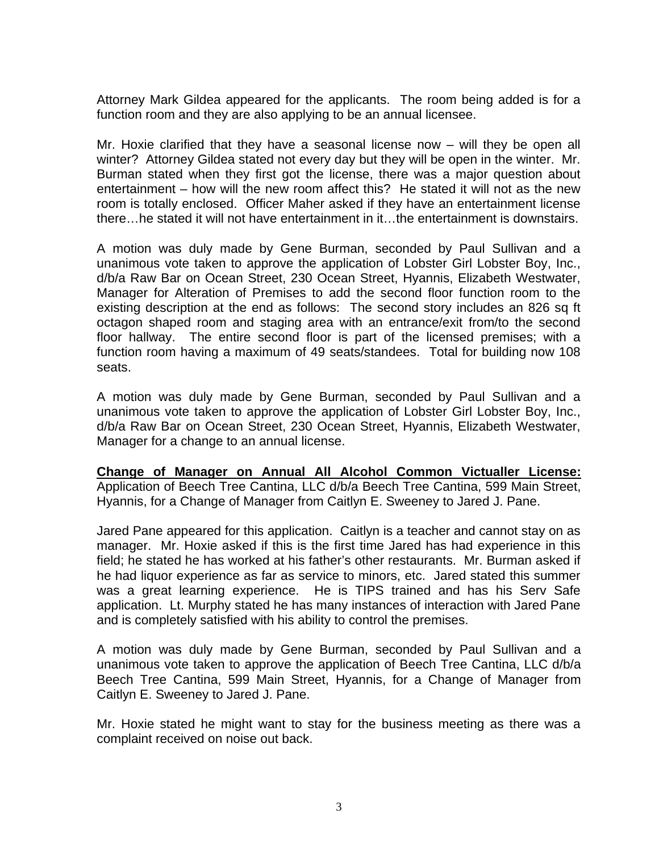Attorney Mark Gildea appeared for the applicants. The room being added is for a function room and they are also applying to be an annual licensee.

Mr. Hoxie clarified that they have a seasonal license now – will they be open all winter? Attorney Gildea stated not every day but they will be open in the winter. Mr. Burman stated when they first got the license, there was a major question about entertainment – how will the new room affect this? He stated it will not as the new room is totally enclosed. Officer Maher asked if they have an entertainment license there…he stated it will not have entertainment in it…the entertainment is downstairs.

A motion was duly made by Gene Burman, seconded by Paul Sullivan and a unanimous vote taken to approve the application of Lobster Girl Lobster Boy, Inc., d/b/a Raw Bar on Ocean Street, 230 Ocean Street, Hyannis, Elizabeth Westwater, Manager for Alteration of Premises to add the second floor function room to the existing description at the end as follows: The second story includes an 826 sq ft octagon shaped room and staging area with an entrance/exit from/to the second floor hallway. The entire second floor is part of the licensed premises; with a function room having a maximum of 49 seats/standees. Total for building now 108 seats.

A motion was duly made by Gene Burman, seconded by Paul Sullivan and a unanimous vote taken to approve the application of Lobster Girl Lobster Boy, Inc., d/b/a Raw Bar on Ocean Street, 230 Ocean Street, Hyannis, Elizabeth Westwater, Manager for a change to an annual license.

**Change of Manager on Annual All Alcohol Common Victualler License:** Application of Beech Tree Cantina, LLC d/b/a Beech Tree Cantina, 599 Main Street, Hyannis, for a Change of Manager from Caitlyn E. Sweeney to Jared J. Pane.

Jared Pane appeared for this application. Caitlyn is a teacher and cannot stay on as manager. Mr. Hoxie asked if this is the first time Jared has had experience in this field; he stated he has worked at his father's other restaurants. Mr. Burman asked if he had liquor experience as far as service to minors, etc. Jared stated this summer was a great learning experience. He is TIPS trained and has his Serv Safe application. Lt. Murphy stated he has many instances of interaction with Jared Pane and is completely satisfied with his ability to control the premises.

A motion was duly made by Gene Burman, seconded by Paul Sullivan and a unanimous vote taken to approve the application of Beech Tree Cantina, LLC d/b/a Beech Tree Cantina, 599 Main Street, Hyannis, for a Change of Manager from Caitlyn E. Sweeney to Jared J. Pane.

Mr. Hoxie stated he might want to stay for the business meeting as there was a complaint received on noise out back.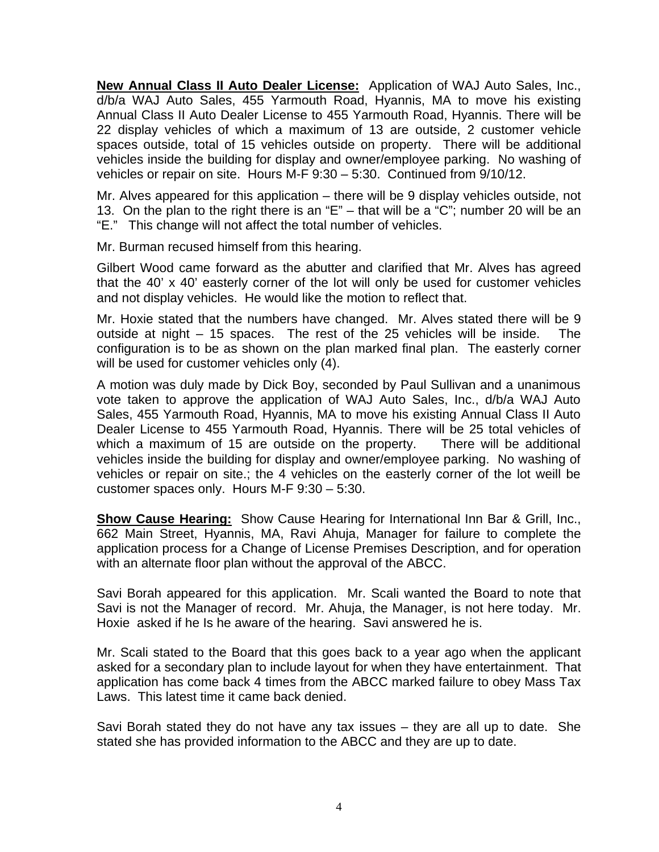**New Annual Class II Auto Dealer License:** Application of WAJ Auto Sales, Inc., d/b/a WAJ Auto Sales, 455 Yarmouth Road, Hyannis, MA to move his existing Annual Class II Auto Dealer License to 455 Yarmouth Road, Hyannis. There will be 22 display vehicles of which a maximum of 13 are outside, 2 customer vehicle spaces outside, total of 15 vehicles outside on property. There will be additional vehicles inside the building for display and owner/employee parking. No washing of vehicles or repair on site. Hours M-F 9:30 – 5:30. Continued from 9/10/12.

Mr. Alves appeared for this application – there will be 9 display vehicles outside, not 13. On the plan to the right there is an "E" – that will be a "C"; number 20 will be an "E." This change will not affect the total number of vehicles.

Mr. Burman recused himself from this hearing.

Gilbert Wood came forward as the abutter and clarified that Mr. Alves has agreed that the 40' x 40' easterly corner of the lot will only be used for customer vehicles and not display vehicles. He would like the motion to reflect that.

Mr. Hoxie stated that the numbers have changed. Mr. Alves stated there will be 9 outside at night – 15 spaces. The rest of the 25 vehicles will be inside. The configuration is to be as shown on the plan marked final plan. The easterly corner will be used for customer vehicles only (4).

A motion was duly made by Dick Boy, seconded by Paul Sullivan and a unanimous vote taken to approve the application of WAJ Auto Sales, Inc., d/b/a WAJ Auto Sales, 455 Yarmouth Road, Hyannis, MA to move his existing Annual Class II Auto Dealer License to 455 Yarmouth Road, Hyannis. There will be 25 total vehicles of which a maximum of 15 are outside on the property. There will be additional vehicles inside the building for display and owner/employee parking. No washing of vehicles or repair on site.; the 4 vehicles on the easterly corner of the lot weill be customer spaces only. Hours M-F 9:30 – 5:30.

**Show Cause Hearing:** Show Cause Hearing for International Inn Bar & Grill, Inc., 662 Main Street, Hyannis, MA, Ravi Ahuja, Manager for failure to complete the application process for a Change of License Premises Description, and for operation with an alternate floor plan without the approval of the ABCC.

Savi Borah appeared for this application. Mr. Scali wanted the Board to note that Savi is not the Manager of record. Mr. Ahuja, the Manager, is not here today. Mr. Hoxie asked if he Is he aware of the hearing. Savi answered he is.

Mr. Scali stated to the Board that this goes back to a year ago when the applicant asked for a secondary plan to include layout for when they have entertainment. That application has come back 4 times from the ABCC marked failure to obey Mass Tax Laws. This latest time it came back denied.

Savi Borah stated they do not have any tax issues – they are all up to date. She stated she has provided information to the ABCC and they are up to date.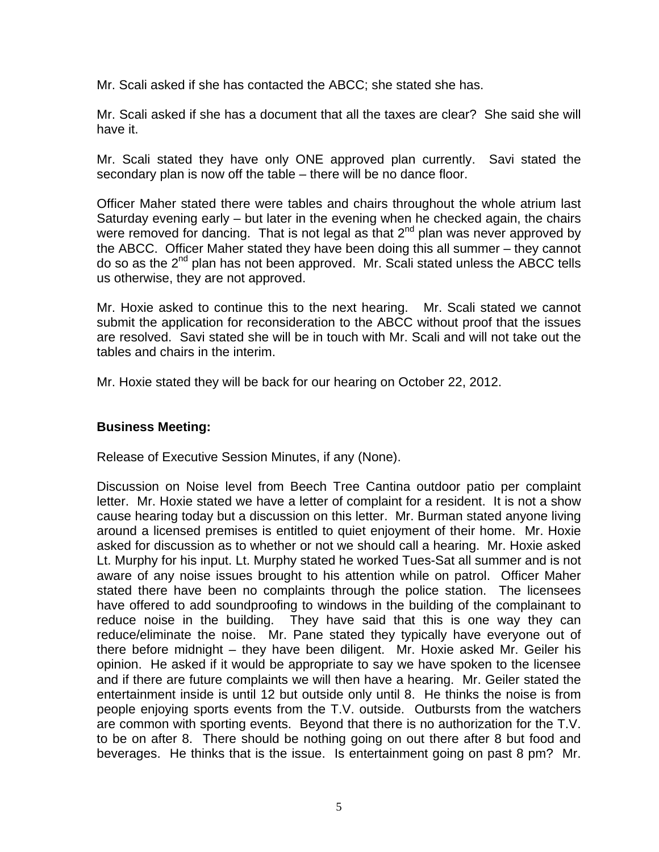Mr. Scali asked if she has contacted the ABCC; she stated she has.

Mr. Scali asked if she has a document that all the taxes are clear? She said she will have it.

Mr. Scali stated they have only ONE approved plan currently. Savi stated the secondary plan is now off the table – there will be no dance floor.

Officer Maher stated there were tables and chairs throughout the whole atrium last Saturday evening early – but later in the evening when he checked again, the chairs were removed for dancing. That is not legal as that  $2<sup>nd</sup>$  plan was never approved by the ABCC. Officer Maher stated they have been doing this all summer – they cannot do so as the 2nd plan has not been approved. Mr. Scali stated unless the ABCC tells us otherwise, they are not approved.

Mr. Hoxie asked to continue this to the next hearing. Mr. Scali stated we cannot submit the application for reconsideration to the ABCC without proof that the issues are resolved. Savi stated she will be in touch with Mr. Scali and will not take out the tables and chairs in the interim.

Mr. Hoxie stated they will be back for our hearing on October 22, 2012.

## **Business Meeting:**

Release of Executive Session Minutes, if any (None).

Discussion on Noise level from Beech Tree Cantina outdoor patio per complaint letter. Mr. Hoxie stated we have a letter of complaint for a resident. It is not a show cause hearing today but a discussion on this letter. Mr. Burman stated anyone living around a licensed premises is entitled to quiet enjoyment of their home. Mr. Hoxie asked for discussion as to whether or not we should call a hearing. Mr. Hoxie asked Lt. Murphy for his input. Lt. Murphy stated he worked Tues-Sat all summer and is not aware of any noise issues brought to his attention while on patrol. Officer Maher stated there have been no complaints through the police station. The licensees have offered to add soundproofing to windows in the building of the complainant to reduce noise in the building. They have said that this is one way they can reduce/eliminate the noise. Mr. Pane stated they typically have everyone out of there before midnight – they have been diligent. Mr. Hoxie asked Mr. Geiler his opinion. He asked if it would be appropriate to say we have spoken to the licensee and if there are future complaints we will then have a hearing. Mr. Geiler stated the entertainment inside is until 12 but outside only until 8. He thinks the noise is from people enjoying sports events from the T.V. outside. Outbursts from the watchers are common with sporting events. Beyond that there is no authorization for the T.V. to be on after 8. There should be nothing going on out there after 8 but food and beverages. He thinks that is the issue. Is entertainment going on past 8 pm? Mr.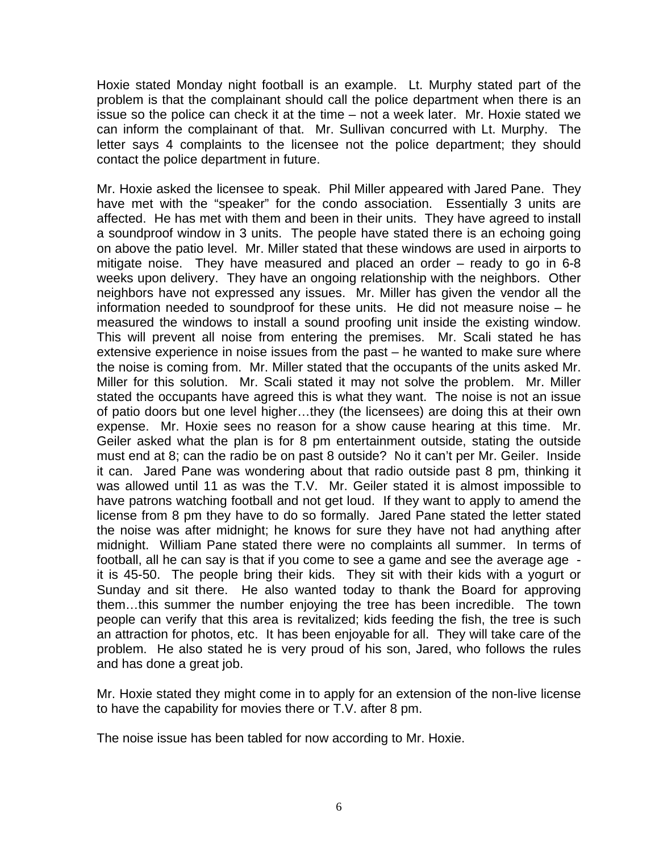Hoxie stated Monday night football is an example. Lt. Murphy stated part of the problem is that the complainant should call the police department when there is an issue so the police can check it at the time – not a week later. Mr. Hoxie stated we can inform the complainant of that. Mr. Sullivan concurred with Lt. Murphy. The letter says 4 complaints to the licensee not the police department; they should contact the police department in future.

Mr. Hoxie asked the licensee to speak. Phil Miller appeared with Jared Pane. They have met with the "speaker" for the condo association. Essentially 3 units are affected. He has met with them and been in their units. They have agreed to install a soundproof window in 3 units. The people have stated there is an echoing going on above the patio level. Mr. Miller stated that these windows are used in airports to mitigate noise. They have measured and placed an order – ready to go in 6-8 weeks upon delivery. They have an ongoing relationship with the neighbors. Other neighbors have not expressed any issues. Mr. Miller has given the vendor all the information needed to soundproof for these units. He did not measure noise – he measured the windows to install a sound proofing unit inside the existing window. This will prevent all noise from entering the premises. Mr. Scali stated he has extensive experience in noise issues from the past – he wanted to make sure where the noise is coming from. Mr. Miller stated that the occupants of the units asked Mr. Miller for this solution. Mr. Scali stated it may not solve the problem. Mr. Miller stated the occupants have agreed this is what they want. The noise is not an issue of patio doors but one level higher…they (the licensees) are doing this at their own expense. Mr. Hoxie sees no reason for a show cause hearing at this time. Mr. Geiler asked what the plan is for 8 pm entertainment outside, stating the outside must end at 8; can the radio be on past 8 outside? No it can't per Mr. Geiler. Inside it can. Jared Pane was wondering about that radio outside past 8 pm, thinking it was allowed until 11 as was the T.V. Mr. Geiler stated it is almost impossible to have patrons watching football and not get loud. If they want to apply to amend the license from 8 pm they have to do so formally. Jared Pane stated the letter stated the noise was after midnight; he knows for sure they have not had anything after midnight. William Pane stated there were no complaints all summer. In terms of football, all he can say is that if you come to see a game and see the average age it is 45-50. The people bring their kids. They sit with their kids with a yogurt or Sunday and sit there. He also wanted today to thank the Board for approving them…this summer the number enjoying the tree has been incredible. The town people can verify that this area is revitalized; kids feeding the fish, the tree is such an attraction for photos, etc. It has been enjoyable for all. They will take care of the problem. He also stated he is very proud of his son, Jared, who follows the rules and has done a great job.

Mr. Hoxie stated they might come in to apply for an extension of the non-live license to have the capability for movies there or T.V. after 8 pm.

The noise issue has been tabled for now according to Mr. Hoxie.